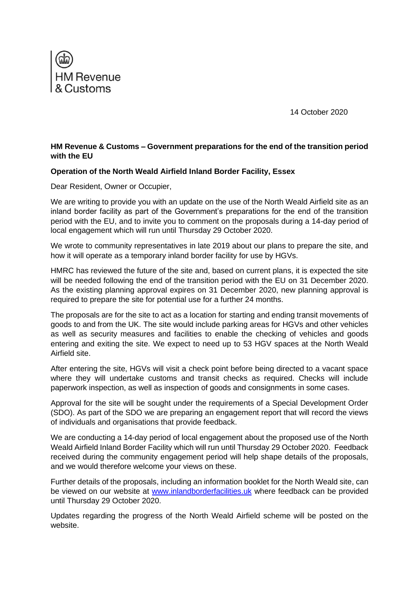

14 October 2020

## **HM Revenue & Customs – Government preparations for the end of the transition period with the EU**

## **Operation of the North Weald Airfield Inland Border Facility, Essex**

Dear Resident, Owner or Occupier,

We are writing to provide you with an update on the use of the North Weald Airfield site as an inland border facility as part of the Government's preparations for the end of the transition period with the EU, and to invite you to comment on the proposals during a 14-day period of local engagement which will run until Thursday 29 October 2020.

We wrote to community representatives in late 2019 about our plans to prepare the site, and how it will operate as a temporary inland border facility for use by HGVs.

HMRC has reviewed the future of the site and, based on current plans, it is expected the site will be needed following the end of the transition period with the EU on 31 December 2020. As the existing planning approval expires on 31 December 2020, new planning approval is required to prepare the site for potential use for a further 24 months.

The proposals are for the site to act as a location for starting and ending transit movements of goods to and from the UK. The site would include parking areas for HGVs and other vehicles as well as security measures and facilities to enable the checking of vehicles and goods entering and exiting the site. We expect to need up to 53 HGV spaces at the North Weald Airfield site.

After entering the site, HGVs will visit a check point before being directed to a vacant space where they will undertake customs and transit checks as required. Checks will include paperwork inspection, as well as inspection of goods and consignments in some cases.

Approval for the site will be sought under the requirements of a Special Development Order (SDO). As part of the SDO we are preparing an engagement report that will record the views of individuals and organisations that provide feedback.

We are conducting a 14-day period of local engagement about the proposed use of the North Weald Airfield Inland Border Facility which will run until Thursday 29 October 2020. Feedback received during the community engagement period will help shape details of the proposals, and we would therefore welcome your views on these.

Further details of the proposals, including an information booklet for the North Weald site, can be viewed on our website at [www.inlandborderfacilities.uk](http://www.inlandborderfacilities.uk/) where feedback can be provided until Thursday 29 October 2020.

Updates regarding the progress of the North Weald Airfield scheme will be posted on the website.